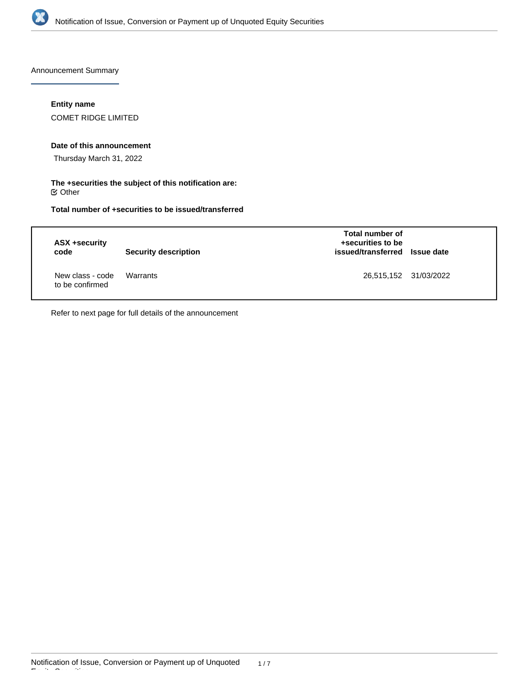

Announcement Summary

## **Entity name**

COMET RIDGE LIMITED

#### **Date of this announcement**

Thursday March 31, 2022

#### **The +securities the subject of this notification are:**  $\mathfrak S$  Other

**Total number of +securities to be issued/transferred**

| ASX +security<br>code               | <b>Security description</b> | Total number of<br>+securities to be<br>issued/transferred Issue date |  |
|-------------------------------------|-----------------------------|-----------------------------------------------------------------------|--|
| New class - code<br>to be confirmed | Warrants                    | 26,515,152 31/03/2022                                                 |  |

Refer to next page for full details of the announcement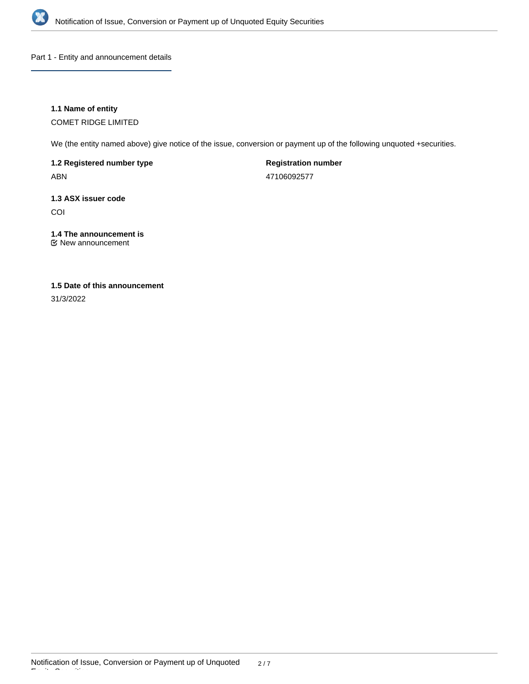

Part 1 - Entity and announcement details

## **1.1 Name of entity**

COMET RIDGE LIMITED

We (the entity named above) give notice of the issue, conversion or payment up of the following unquoted +securities.

**1.2 Registered number type**

ABN

**Registration number**

47106092577

# **1.3 ASX issuer code**

COI

# **1.4 The announcement is**

New announcement

# **1.5 Date of this announcement**

31/3/2022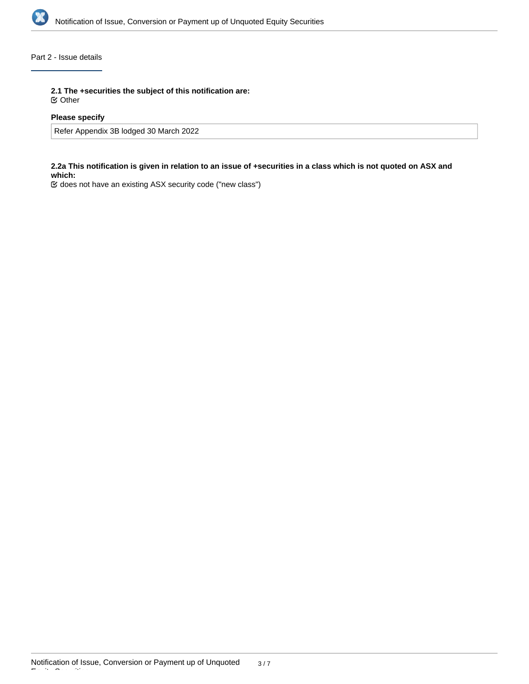

# Part 2 - Issue details

**2.1 The +securities the subject of this notification are:**

Other

## **Please specify**

Refer Appendix 3B lodged 30 March 2022

## **2.2a This notification is given in relation to an issue of +securities in a class which is not quoted on ASX and which:**

does not have an existing ASX security code ("new class")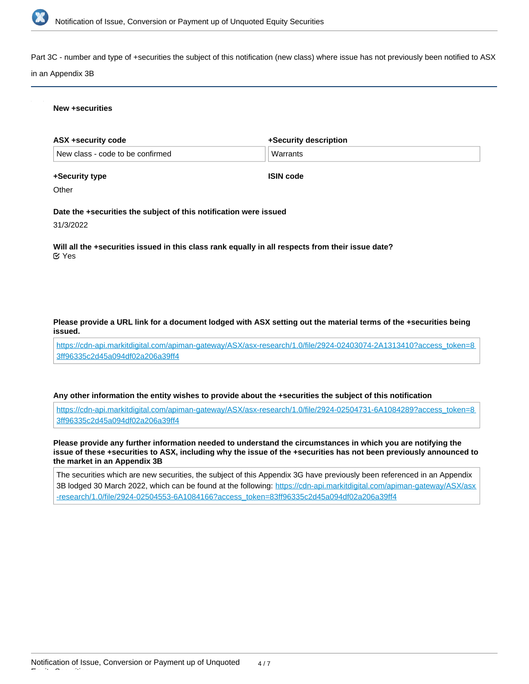

Part 3C - number and type of +securities the subject of this notification (new class) where issue has not previously been notified to ASX

#### in an Appendix 3B

#### **New +securities**

| ASX +security code               | +Security description |
|----------------------------------|-----------------------|
| New class - code to be confirmed | Warrants              |

**+Security type**

**ISIN code**

**Other** 

**Date the +securities the subject of this notification were issued**

31/3/2022

**Will all the +securities issued in this class rank equally in all respects from their issue date?** Yes

#### **Please provide a URL link for a document lodged with ASX setting out the material terms of the +securities being issued.**

[https://cdn-api.markitdigital.com/apiman-gateway/ASX/asx-research/1.0/file/2924-02403074-2A1313410?access\\_token=8](https://cdn-api.markitdigital.com/apiman-gateway/ASX/asx-research/1.0/file/2924-02403074-2A1313410?access_token=83ff96335c2d45a094df02a206a39ff4) [3ff96335c2d45a094df02a206a39ff4](https://cdn-api.markitdigital.com/apiman-gateway/ASX/asx-research/1.0/file/2924-02403074-2A1313410?access_token=83ff96335c2d45a094df02a206a39ff4)

#### **Any other information the entity wishes to provide about the +securities the subject of this notification**

[https://cdn-api.markitdigital.com/apiman-gateway/ASX/asx-research/1.0/file/2924-02504731-6A1084289?access\\_token=8](https://cdn-api.markitdigital.com/apiman-gateway/ASX/asx-research/1.0/file/2924-02504731-6A1084289?access_token=83ff96335c2d45a094df02a206a39ff4) [3ff96335c2d45a094df02a206a39ff4](https://cdn-api.markitdigital.com/apiman-gateway/ASX/asx-research/1.0/file/2924-02504731-6A1084289?access_token=83ff96335c2d45a094df02a206a39ff4)

**Please provide any further information needed to understand the circumstances in which you are notifying the issue of these +securities to ASX, including why the issue of the +securities has not been previously announced to the market in an Appendix 3B**

The securities which are new securities, the subject of this Appendix 3G have previously been referenced in an Appendix 3B lodged 30 March 2022, which can be found at the following: [https://cdn-api.markitdigital.com/apiman-gateway/ASX/asx](https://cdn-api.markitdigital.com/apiman-gateway/ASX/asx-research/1.0/file/2924-02504553-6A1084166?access_token=83ff96335c2d45a094df02a206a39ff4) [-research/1.0/file/2924-02504553-6A1084166?access\\_token=83ff96335c2d45a094df02a206a39ff4](https://cdn-api.markitdigital.com/apiman-gateway/ASX/asx-research/1.0/file/2924-02504553-6A1084166?access_token=83ff96335c2d45a094df02a206a39ff4)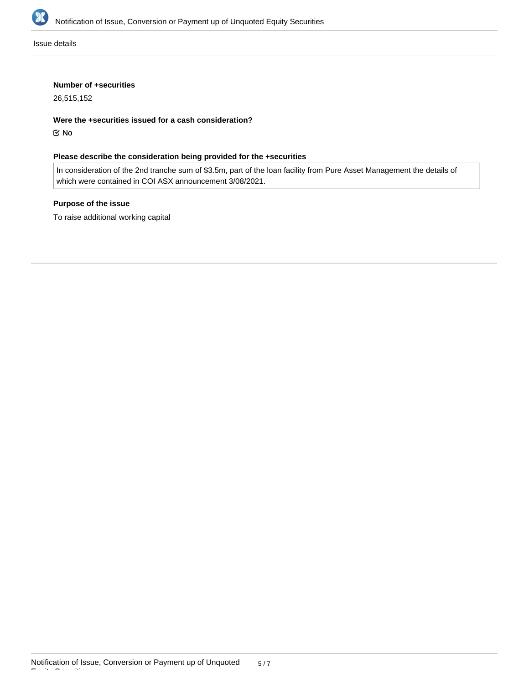

Issue details

#### **Number of +securities**

26,515,152

**Were the +securities issued for a cash consideration?**

No

## **Please describe the consideration being provided for the +securities**

In consideration of the 2nd tranche sum of \$3.5m, part of the loan facility from Pure Asset Management the details of which were contained in COI ASX announcement 3/08/2021.

## **Purpose of the issue**

To raise additional working capital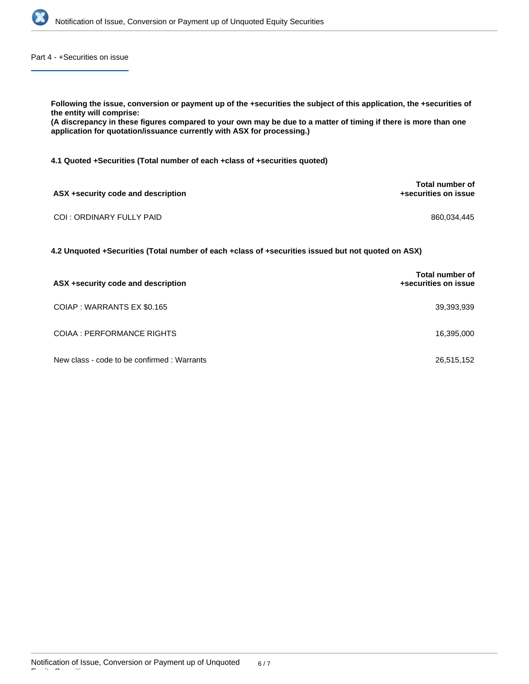

Part 4 - +Securities on issue

**Following the issue, conversion or payment up of the +securities the subject of this application, the +securities of the entity will comprise: (A discrepancy in these figures compared to your own may be due to a matter of timing if there is more than one application for quotation/issuance currently with ASX for processing.) 4.1 Quoted +Securities (Total number of each +class of +securities quoted) ASX +security code and description Total number of +securities on issue** COI : ORDINARY FULLY PAID 860,034,445

**4.2 Unquoted +Securities (Total number of each +class of +securities issued but not quoted on ASX)**

| ASX +security code and description         | <b>Total number of</b><br>+securities on issue |
|--------------------------------------------|------------------------------------------------|
| COIAP : WARRANTS EX \$0.165                | 39,393,939                                     |
| COIAA : PERFORMANCE RIGHTS                 | 16,395,000                                     |
| New class - code to be confirmed: Warrants | 26,515,152                                     |